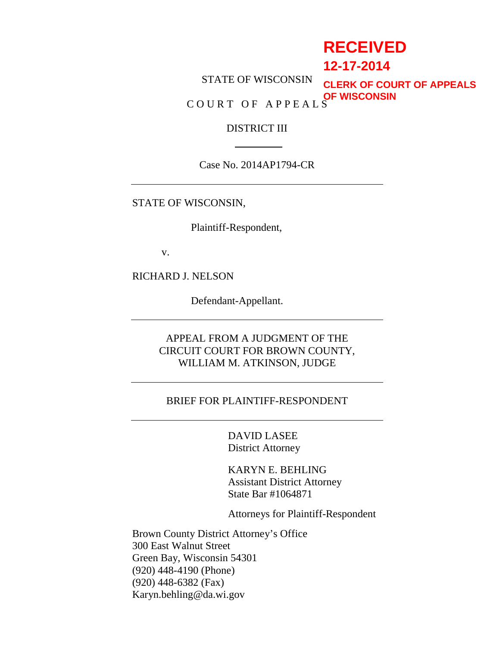# **RECEIVED**

## **12-17-2014**

STATE OF WISCONSIN COURT OF APPEALS **CLERK OF COURT OF APPEALS OF WISCONSIN**

## DISTRICT III

Case No. 2014AP1794-CR

STATE OF WISCONSIN,

Plaintiff-Respondent,

v.

RICHARD J. NELSON

Defendant-Appellant.

APPEAL FROM A JUDGMENT OF THE CIRCUIT COURT FOR BROWN COUNTY, WILLIAM M. ATKINSON, JUDGE

### BRIEF FOR PLAINTIFF-RESPONDENT

 DAVID LASEE District Attorney

 KARYN E. BEHLING Assistant District Attorney State Bar #1064871

Attorneys for Plaintiff-Respondent

Brown County District Attorney's Office 300 East Walnut Street Green Bay, Wisconsin 54301 (920) 448-4190 (Phone) (920) 448-6382 (Fax) Karyn.behling@da.wi.gov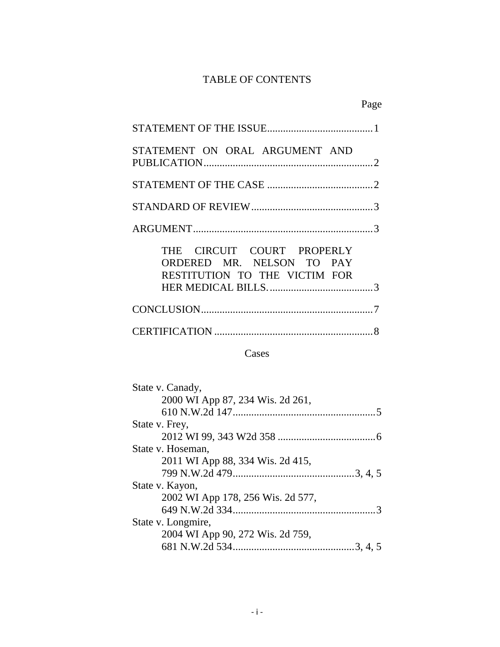## TABLE OF CONTENTS

| STATEMENT ON ORAL ARGUMENT AND                                                           |
|------------------------------------------------------------------------------------------|
|                                                                                          |
|                                                                                          |
|                                                                                          |
| THE CIRCUIT COURT PROPERLY<br>ORDERED MR. NELSON TO PAY<br>RESTITUTION TO THE VICTIM FOR |
|                                                                                          |
|                                                                                          |

## Cases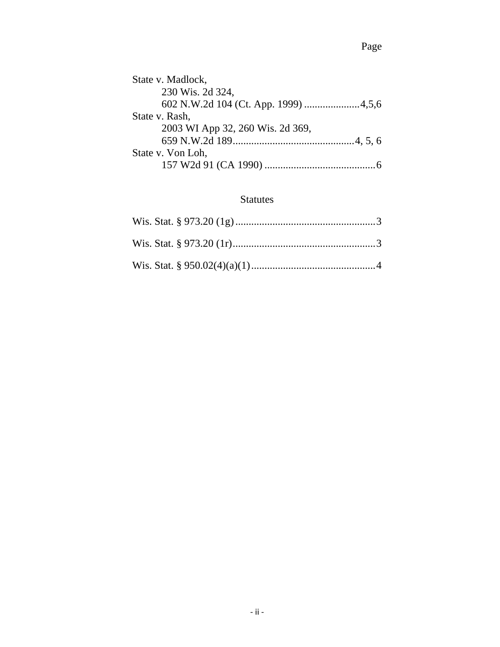| State v. Madlock,                    |
|--------------------------------------|
| 230 Wis. 2d 324,                     |
| 602 N.W.2d 104 (Ct. App. 1999) 4,5,6 |
| State v. Rash,                       |
| 2003 WI App 32, 260 Wis. 2d 369,     |
|                                      |
| State v. Von Loh,                    |
|                                      |

## Statutes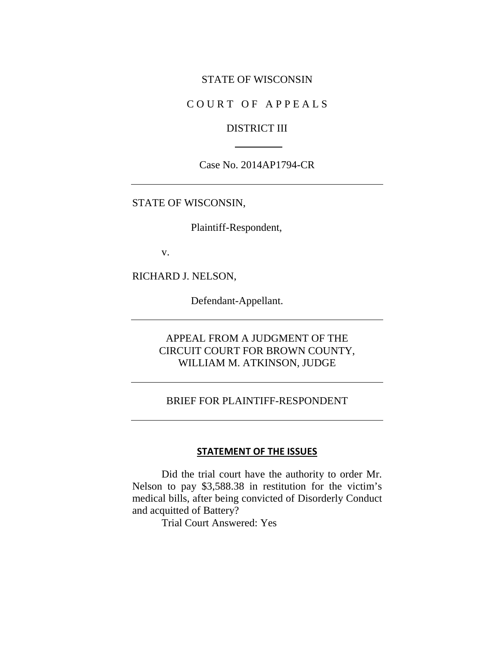#### STATE OF WISCONSIN

### COURT OF APPEALS

#### DISTRICT III

#### Case No. 2014AP1794-CR

#### STATE OF WISCONSIN,

Plaintiff-Respondent,

v.

RICHARD J. NELSON,

Defendant-Appellant.

## APPEAL FROM A JUDGMENT OF THE CIRCUIT COURT FOR BROWN COUNTY, WILLIAM M. ATKINSON, JUDGE

### BRIEF FOR PLAINTIFF-RESPONDENT

### **STATEMENT OF THE ISSUES**

Did the trial court have the authority to order Mr. Nelson to pay \$3,588.38 in restitution for the victim's medical bills, after being convicted of Disorderly Conduct and acquitted of Battery?

Trial Court Answered: Yes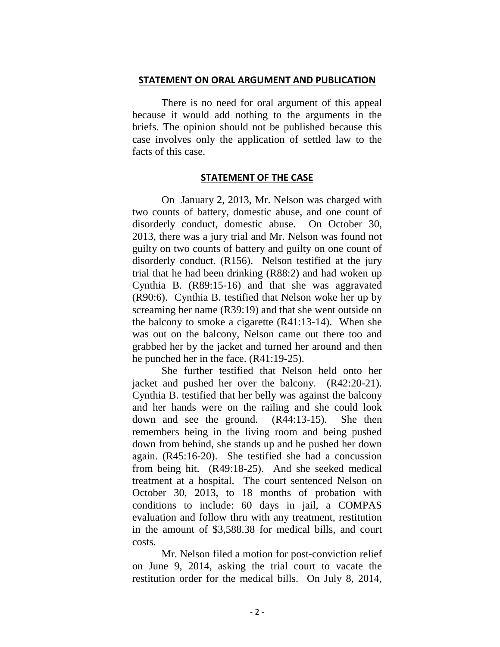#### **STATEMENT ON ORAL ARGUMENT AND PUBLICATION**

 There is no need for oral argument of this appeal because it would add nothing to the arguments in the briefs. The opinion should not be published because this case involves only the application of settled law to the facts of this case.

#### **STATEMENT OF THE CASE**

On January 2, 2013, Mr. Nelson was charged with two counts of battery, domestic abuse, and one count of disorderly conduct, domestic abuse. On October 30, 2013, there was a jury trial and Mr. Nelson was found not guilty on two counts of battery and guilty on one count of disorderly conduct. (R156). Nelson testified at the jury trial that he had been drinking (R88:2) and had woken up Cynthia B. (R89:15-16) and that she was aggravated (R90:6). Cynthia B. testified that Nelson woke her up by screaming her name (R39:19) and that she went outside on the balcony to smoke a cigarette (R41:13-14). When she was out on the balcony, Nelson came out there too and grabbed her by the jacket and turned her around and then he punched her in the face. (R41:19-25).

She further testified that Nelson held onto her jacket and pushed her over the balcony. (R42:20-21). Cynthia B. testified that her belly was against the balcony and her hands were on the railing and she could look down and see the ground. (R44:13-15). She then remembers being in the living room and being pushed down from behind, she stands up and he pushed her down again. (R45:16-20). She testified she had a concussion from being hit. (R49:18-25). And she seeked medical treatment at a hospital. The court sentenced Nelson on October 30, 2013, to 18 months of probation with conditions to include: 60 days in jail, a COMPAS evaluation and follow thru with any treatment, restitution in the amount of \$3,588.38 for medical bills, and court costs.

Mr. Nelson filed a motion for post-conviction relief on June 9, 2014, asking the trial court to vacate the restitution order for the medical bills. On July 8, 2014,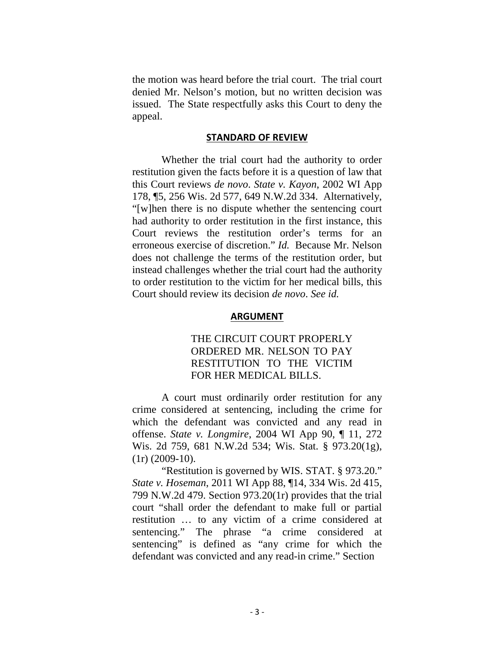the motion was heard before the trial court. The trial court denied Mr. Nelson's motion, but no written decision was issued. The State respectfully asks this Court to deny the appeal.

#### **STANDARD OF REVIEW**

Whether the trial court had the authority to order restitution given the facts before it is a question of law that this Court reviews *de novo*. *State v. Kayon*, 2002 WI App 178, ¶5, 256 Wis. 2d 577, 649 N.W.2d 334. Alternatively, "[w]hen there is no dispute whether the sentencing court had authority to order restitution in the first instance, this Court reviews the restitution order's terms for an erroneous exercise of discretion." *Id.* Because Mr. Nelson does not challenge the terms of the restitution order, but instead challenges whether the trial court had the authority to order restitution to the victim for her medical bills, this Court should review its decision *de novo*. *See id.*

#### **ARGUMENT**

## THE CIRCUIT COURT PROPERLY ORDERED MR. NELSON TO PAY RESTITUTION TO THE VICTIM FOR HER MEDICAL BILLS.

 A court must ordinarily order restitution for any crime considered at sentencing, including the crime for which the defendant was convicted and any read in offense. *State v. Longmire*, 2004 WI App 90, ¶ 11, 272 Wis. 2d 759, 681 N.W.2d 534; Wis. Stat. § 973.20(1g),  $(1r)$   $(2009-10)$ .

"Restitution is governed by WIS. STAT. § 973.20." *State v. Hoseman*, 2011 WI App 88, ¶14, 334 Wis. 2d 415, 799 N.W.2d 479. Section 973.20(1r) provides that the trial court "shall order the defendant to make full or partial restitution … to any victim of a crime considered at sentencing." The phrase "a crime considered at sentencing" is defined as "any crime for which the defendant was convicted and any read-in crime." Section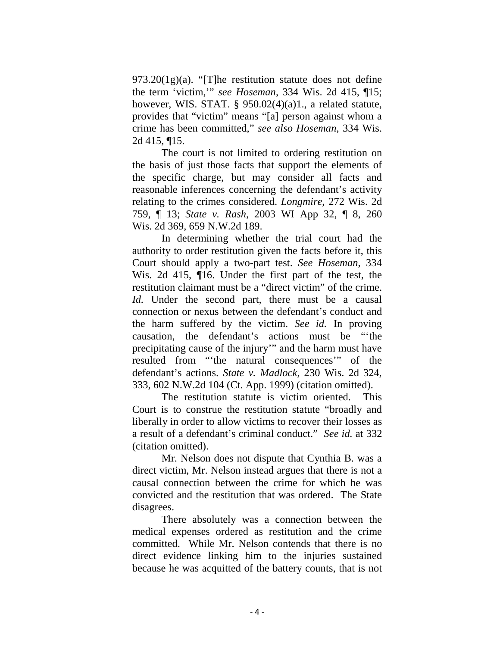$973.20(1g)(a)$ . "[T]he restitution statute does not define the term 'victim,'" *see Hoseman*, 334 Wis. 2d 415, ¶15; however, WIS. STAT.  $\S$  950.02(4)(a)1., a related statute, provides that "victim" means "[a] person against whom a crime has been committed," *see also Hoseman*, 334 Wis. 2d 415, ¶15.

 The court is not limited to ordering restitution on the basis of just those facts that support the elements of the specific charge, but may consider all facts and reasonable inferences concerning the defendant's activity relating to the crimes considered. *Longmire*, 272 Wis. 2d 759, ¶ 13; *State v. Rash*, 2003 WI App 32, ¶ 8, 260 Wis. 2d 369, 659 N.W.2d 189.

 In determining whether the trial court had the authority to order restitution given the facts before it, this Court should apply a two-part test. *See Hoseman*, 334 Wis. 2d 415, ¶16. Under the first part of the test, the restitution claimant must be a "direct victim" of the crime. *Id.* Under the second part, there must be a causal connection or nexus between the defendant's conduct and the harm suffered by the victim. *See id.* In proving causation, the defendant's actions must be "'the precipitating cause of the injury'" and the harm must have resulted from "'the natural consequences'" of the defendant's actions. *State v. Madlock*, 230 Wis. 2d 324, 333, 602 N.W.2d 104 (Ct. App. 1999) (citation omitted).

The restitution statute is victim oriented. This Court is to construe the restitution statute "broadly and liberally in order to allow victims to recover their losses as a result of a defendant's criminal conduct." *See id.* at 332 (citation omitted).

Mr. Nelson does not dispute that Cynthia B. was a direct victim, Mr. Nelson instead argues that there is not a causal connection between the crime for which he was convicted and the restitution that was ordered. The State disagrees.

There absolutely was a connection between the medical expenses ordered as restitution and the crime committed. While Mr. Nelson contends that there is no direct evidence linking him to the injuries sustained because he was acquitted of the battery counts, that is not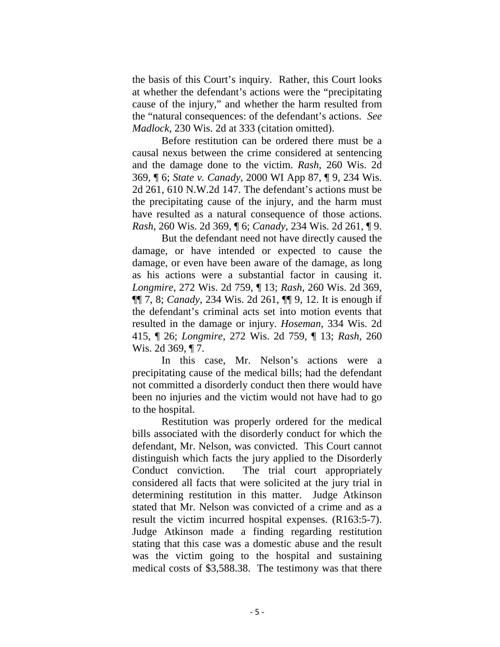the basis of this Court's inquiry. Rather, this Court looks at whether the defendant's actions were the "precipitating cause of the injury," and whether the harm resulted from the "natural consequences: of the defendant's actions. *See Madlock*, 230 Wis. 2d at 333 (citation omitted).

Before restitution can be ordered there must be a causal nexus between the crime considered at sentencing and the damage done to the victim. *Rash*, 260 Wis. 2d 369, ¶ 6; *State v. Canady*, 2000 WI App 87, ¶ 9, 234 Wis. 2d 261, 610 N.W.2d 147. The defendant's actions must be the precipitating cause of the injury, and the harm must have resulted as a natural consequence of those actions. *Rash*, 260 Wis. 2d 369, ¶ 6; *Canady*, 234 Wis. 2d 261, ¶ 9.

 But the defendant need not have directly caused the damage, or have intended or expected to cause the damage, or even have been aware of the damage, as long as his actions were a substantial factor in causing it. *Longmire*, 272 Wis. 2d 759, ¶ 13; *Rash*, 260 Wis. 2d 369, ¶¶ 7, 8; *Canady*, 234 Wis. 2d 261, ¶¶ 9, 12. It is enough if the defendant's criminal acts set into motion events that resulted in the damage or injury. *Hoseman*, 334 Wis. 2d 415, ¶ 26; *Longmire*, 272 Wis. 2d 759, ¶ 13; *Rash*, 260 Wis. 2d 369, ¶ 7.

In this case, Mr. Nelson's actions were a precipitating cause of the medical bills; had the defendant not committed a disorderly conduct then there would have been no injuries and the victim would not have had to go to the hospital.

Restitution was properly ordered for the medical bills associated with the disorderly conduct for which the defendant, Mr. Nelson, was convicted. This Court cannot distinguish which facts the jury applied to the Disorderly Conduct conviction. The trial court appropriately considered all facts that were solicited at the jury trial in determining restitution in this matter. Judge Atkinson stated that Mr. Nelson was convicted of a crime and as a result the victim incurred hospital expenses. (R163:5-7). Judge Atkinson made a finding regarding restitution stating that this case was a domestic abuse and the result was the victim going to the hospital and sustaining medical costs of \$3,588.38. The testimony was that there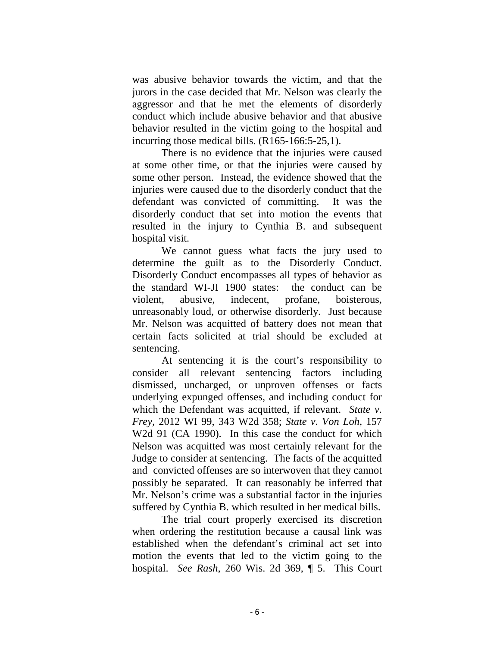was abusive behavior towards the victim, and that the jurors in the case decided that Mr. Nelson was clearly the aggressor and that he met the elements of disorderly conduct which include abusive behavior and that abusive behavior resulted in the victim going to the hospital and incurring those medical bills. (R165-166:5-25,1).

 There is no evidence that the injuries were caused at some other time, or that the injuries were caused by some other person. Instead, the evidence showed that the injuries were caused due to the disorderly conduct that the defendant was convicted of committing. It was the disorderly conduct that set into motion the events that resulted in the injury to Cynthia B. and subsequent hospital visit.

 We cannot guess what facts the jury used to determine the guilt as to the Disorderly Conduct. Disorderly Conduct encompasses all types of behavior as the standard WI-JI 1900 states: the conduct can be violent, abusive, indecent, profane, boisterous, unreasonably loud, or otherwise disorderly. Just because Mr. Nelson was acquitted of battery does not mean that certain facts solicited at trial should be excluded at sentencing.

 At sentencing it is the court's responsibility to consider all relevant sentencing factors including dismissed, uncharged, or unproven offenses or facts underlying expunged offenses, and including conduct for which the Defendant was acquitted, if relevant. *State v. Frey,* 2012 WI 99, 343 W2d 358; *State v. Von Loh*, 157 W2d 91 (CA 1990). In this case the conduct for which Nelson was acquitted was most certainly relevant for the Judge to consider at sentencing. The facts of the acquitted and convicted offenses are so interwoven that they cannot possibly be separated. It can reasonably be inferred that Mr. Nelson's crime was a substantial factor in the injuries suffered by Cynthia B. which resulted in her medical bills.

 The trial court properly exercised its discretion when ordering the restitution because a causal link was established when the defendant's criminal act set into motion the events that led to the victim going to the hospital. *See Rash*, 260 Wis. 2d 369, ¶ 5. This Court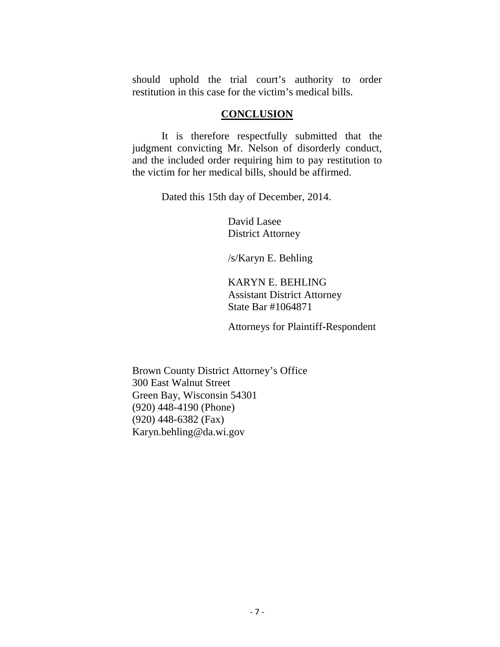should uphold the trial court's authority to order restitution in this case for the victim's medical bills.

### **CONCLUSION**

 It is therefore respectfully submitted that the judgment convicting Mr. Nelson of disorderly conduct, and the included order requiring him to pay restitution to the victim for her medical bills, should be affirmed.

Dated this 15th day of December, 2014.

 David Lasee District Attorney

/s/Karyn E. Behling

 KARYN E. BEHLING Assistant District Attorney State Bar #1064871

Attorneys for Plaintiff-Respondent

Brown County District Attorney's Office 300 East Walnut Street Green Bay, Wisconsin 54301 (920) 448-4190 (Phone) (920) 448-6382 (Fax) Karyn.behling@da.wi.gov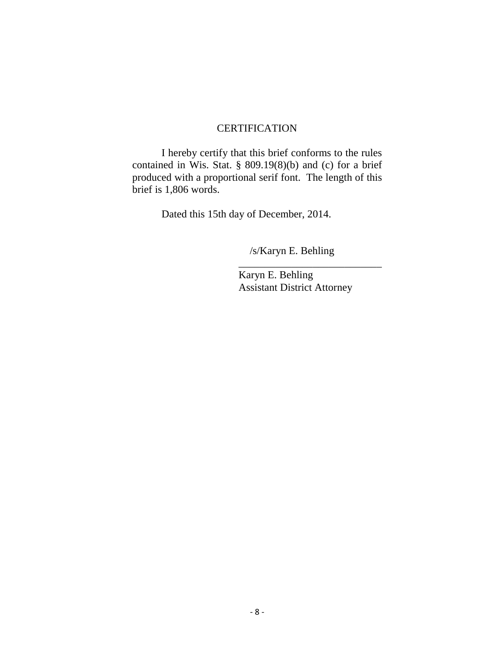### **CERTIFICATION**

 I hereby certify that this brief conforms to the rules contained in Wis. Stat. § 809.19(8)(b) and (c) for a brief produced with a proportional serif font. The length of this brief is 1,806 words.

 $\frac{1}{\sqrt{2\pi}}$  ,  $\frac{1}{\sqrt{2\pi}}$  ,  $\frac{1}{\sqrt{2\pi}}$  ,  $\frac{1}{\sqrt{2\pi}}$  ,  $\frac{1}{\sqrt{2\pi}}$  ,  $\frac{1}{\sqrt{2\pi}}$  ,  $\frac{1}{\sqrt{2\pi}}$  ,  $\frac{1}{\sqrt{2\pi}}$  ,  $\frac{1}{\sqrt{2\pi}}$  ,  $\frac{1}{\sqrt{2\pi}}$  ,  $\frac{1}{\sqrt{2\pi}}$  ,  $\frac{1}{\sqrt{2\pi}}$  ,  $\frac{1}{\sqrt{2\pi}}$  ,

Dated this 15th day of December, 2014.

/s/Karyn E. Behling

 Karyn E. Behling Assistant District Attorney